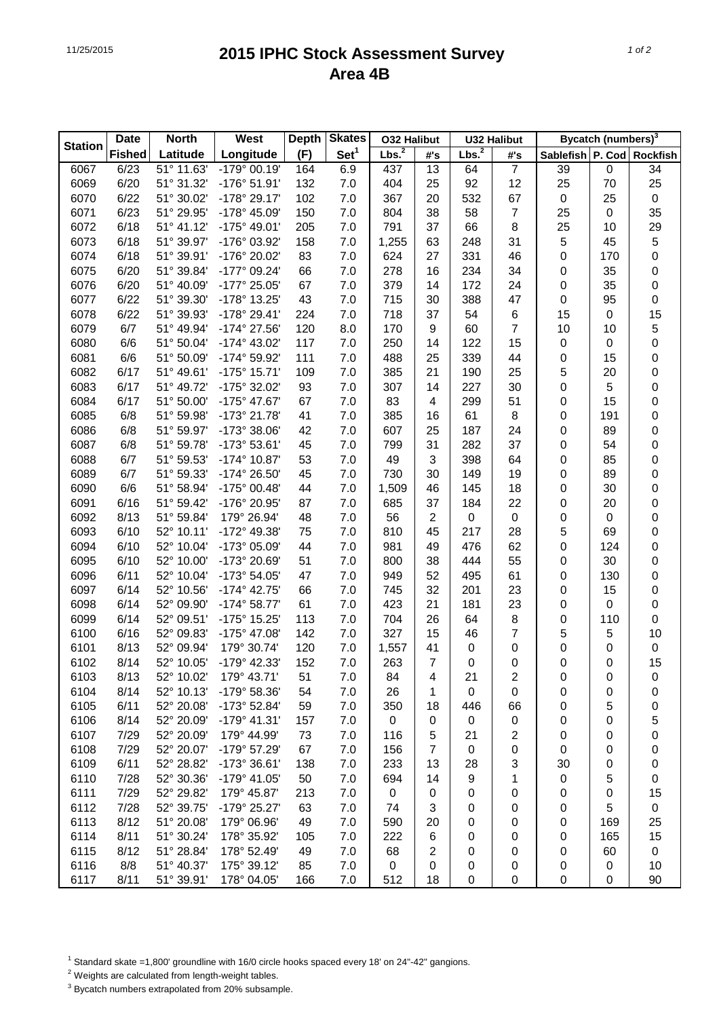## 11/25/2015 **2015 IPHC Stock Assessment Survey Area 4B**

|                | <b>North</b><br><b>Date</b> |            | West                  | <b>Depth</b> | <b>Skates</b>    | <b>O32 Halibut</b> |                | <b>U32 Halibut</b> |                  | <b>Bycatch (numbers)</b> <sup>3</sup> |             |                     |
|----------------|-----------------------------|------------|-----------------------|--------------|------------------|--------------------|----------------|--------------------|------------------|---------------------------------------|-------------|---------------------|
| <b>Station</b> | <b>Fished</b>               | Latitude   | Longitude             | (F)          | Set <sup>1</sup> | Lbs. <sup>2</sup>  | #'s            | Lbs. <sup>2</sup>  | #'s              | Sablefish P. Cod                      |             | <b>Rockfish</b>     |
| 6067           | 6/23                        | 51° 11.63' | -179° 00.19'          | 164          | 6.9              | 437                | 13             | 64                 | $\overline{7}$   | 39                                    | $\mathsf 0$ | 34                  |
| 6069           | 6/20                        | 51° 31.32' | -176° 51.91'          | 132          | 7.0              | 404                | 25             | 92                 | 12               | 25                                    | 70          | 25                  |
| 6070           | 6/22                        | 51° 30.02' | -178° 29.17'          | 102          | 7.0              | 367                | 20             | 532                | 67               | $\mathsf 0$                           | 25          | $\pmb{0}$           |
| 6071           | 6/23                        | 51° 29.95' | -178° 45.09'          | 150          | 7.0              | 804                | 38             | 58                 | $\overline{7}$   | 25                                    | 0           | 35                  |
| 6072           | 6/18                        | 51° 41.12' | -175° 49.01'          | 205          | 7.0              | 791                | 37             | 66                 | 8                | 25                                    | 10          | 29                  |
| 6073           | 6/18                        | 51° 39.97' | -176° 03.92'          | 158          | 7.0              | 1,255              | 63             | 248                | 31               | 5                                     | 45          | 5                   |
| 6074           | 6/18                        | 51° 39.91' | -176° 20.02'          | 83           | 7.0              | 624                | 27             | 331                | 46               | 0                                     | 170         | $\mathbf 0$         |
| 6075           | 6/20                        | 51° 39.84' | -177° 09.24'          | 66           | 7.0              | 278                | 16             | 234                | 34               | 0                                     | 35          | 0                   |
| 6076           | 6/20                        | 51° 40.09' | -177° 25.05'          | 67           | 7.0              | 379                | 14             | 172                | 24               | 0                                     | 35          | $\pmb{0}$           |
| 6077           | 6/22                        | 51° 39.30' | -178° 13.25'          | 43           | 7.0              | 715                | 30             | 388                | 47               | 0                                     | 95          | $\pmb{0}$           |
| 6078           | 6/22                        | 51° 39.93' | -178° 29.41'          | 224          | 7.0              | 718                | 37             | 54                 | 6                | 15                                    | 0           | 15                  |
| 6079           | 6/7                         | 51° 49.94' | -174° 27.56'          | 120          | 8.0              | 170                | 9              | 60                 | $\overline{7}$   | 10                                    | 10          | 5                   |
| 6080           | 6/6                         | 51° 50.04' | -174° 43.02'          | 117          | 7.0              | 250                | 14             | 122                | 15               | 0                                     | 0           | $\mathbf 0$         |
| 6081           | 6/6                         | 51° 50.09' | -174° 59.92'          | 111          | 7.0              | 488                | 25             | 339                | 44               | 0                                     | 15          | 0                   |
| 6082           | 6/17                        | 51° 49.61' | $-175°$ 15.71'        | 109          | 7.0              | 385                | 21             | 190                | 25               | 5                                     | 20          | 0                   |
| 6083           | 6/17                        | 51° 49.72' | -175° 32.02'          | 93           | 7.0              | 307                | 14             | 227                | 30               | 0                                     | 5           | 0                   |
| 6084           | 6/17                        | 51° 50.00' | -175° 47.67'          | 67           | 7.0              | 83                 | 4              | 299                | 51               | 0                                     | 15          | $\mathsf{O}\xspace$ |
| 6085           | 6/8                         | 51° 59.98' | -173° 21.78'          | 41           | 7.0              | 385                | 16             | 61                 | 8                | 0                                     | 191         | $\mathsf{O}\xspace$ |
| 6086           | 6/8                         | 51° 59.97' | -173° 38.06'          | 42           | 7.0              | 607                | 25             | 187                | 24               | 0                                     | 89          | 0                   |
| 6087           | 6/8                         | 51° 59.78' | -173° 53.61'          | 45           | 7.0              | 799                | 31             | 282                | 37               | 0                                     | 54          | 0                   |
| 6088           | 6/7                         | 51° 59.53' | -174° 10.87'          | 53           | 7.0              | 49                 | 3              | 398                | 64               | 0                                     | 85          | 0                   |
| 6089           | 6/7                         | 51° 59.33' | -174° 26.50'          | 45           | 7.0              | 730                | 30             | 149                | 19               | 0                                     | 89          | 0                   |
| 6090           | 6/6                         | 51° 58.94' | -175° 00.48'          | 44           | 7.0              | 1,509              | 46             | 145                | 18               | 0                                     | 30          | 0                   |
| 6091           | 6/16                        | 51° 59.42' | -176° 20.95'          | 87           | 7.0              | 685                | 37             | 184                | 22               | 0                                     | 20          | 0                   |
| 6092           | 8/13                        | 51° 59.84' | 179° 26.94'           | 48           | 7.0              | 56                 | $\overline{2}$ | $\boldsymbol{0}$   | $\boldsymbol{0}$ | 0                                     | 0           | 0                   |
| 6093           | 6/10                        | 52° 10.11' | -172° 49.38'          | 75           | 7.0              | 810                | 45             | 217                | 28               | 5                                     | 69          | 0                   |
| 6094           | 6/10                        | 52° 10.04' | -173° 05.09'          | 44           | 7.0              | 981                | 49             | 476                | 62               | 0                                     | 124         | 0                   |
| 6095           | 6/10                        | 52° 10.00' | -173° 20.69'          | 51           | 7.0              | 800                | 38             | 444                | 55               | 0                                     | 30          | 0                   |
| 6096           | 6/11                        | 52° 10.04' | -173° 54.05'          | 47           | 7.0              | 949                | 52             | 495                | 61               | 0                                     | 130         | 0                   |
| 6097           | 6/14                        | 52° 10.56' | $-174^{\circ}$ 42.75' | 66           | 7.0              | 745                | 32             | 201                | 23               | 0                                     | 15          | $\pmb{0}$           |
| 6098           | 6/14                        | 52° 09.90' | $-174^{\circ}58.77'$  | 61           | 7.0              | 423                | 21             | 181                | 23               | 0                                     | 0           | $\pmb{0}$           |
| 6099           | 6/14                        | 52° 09.51' | -175° 15.25'          | 113          | 7.0              | 704                | 26             | 64                 | 8                | 0                                     | 110         | $\pmb{0}$           |
| 6100           | 6/16                        | 52° 09.83' | -175° 47.08'          | 142          | 7.0              | 327                | 15             | 46                 | 7                | 5                                     | 5           | 10                  |
| 6101           | 8/13                        | 52° 09.94' | 179° 30.74'           | 120          | 7.0              | 1,557              | 41             | 0                  | 0                | 0                                     | 0           | $\pmb{0}$           |
| 6102           | 8/14                        | 52° 10.05' | $-179^{\circ}$ 42.33' | 152          | 7.0              | 263                | $\overline{7}$ | 0                  | 0                | 0                                     | 0           | 15                  |
| 6103           | 8/13                        | 52° 10.02' | 179° 43.71'           | 51           | 7.0              | 84                 | 4              | 21                 | 2                | 0                                     | 0           | 0                   |
| 6104           | 8/14                        | 52° 10.13' | -179° 58.36'          | 54           | 7.0              | 26                 | 1              | 0                  | 0                | 0                                     | 0           | 0                   |
| 6105           | 6/11                        | 52° 20.08' | -173° 52.84'          | 59           | 7.0              | 350                | 18             | 446                | 66               | 0                                     | 5           | 0                   |
| 6106           | 8/14                        | 52° 20.09' | $-179°$ 41.31'        | 157          | 7.0              | 0                  | 0              | 0                  | 0                | 0                                     | 0           | 5                   |
| 6107           | 7/29                        | 52° 20.09' | 179° 44.99'           | 73           | 7.0              | 116                | 5              | 21                 | 2                | 0                                     | 0           | 0                   |
| 6108           | 7/29                        | 52° 20.07' | -179° 57.29'          | 67           | 7.0              | 156                | $\overline{7}$ | 0                  | 0                | 0                                     | 0           | 0                   |
| 6109           | 6/11                        | 52° 28.82' | -173° 36.61'          | 138          | 7.0              | 233                | 13             | 28                 | 3                | 30                                    | 0           | 0                   |
| 6110           | 7/28                        | 52° 30.36' | -179° 41.05'          | 50           | 7.0              | 694                | 14             | 9                  | 1                | 0                                     | 5           | 0                   |
| 6111           | 7/29                        | 52° 29.82' | 179° 45.87'           | 213          | 7.0              | $\pmb{0}$          | 0              | 0                  | 0                | 0                                     | 0           | 15                  |
| 6112           | 7/28                        | 52° 39.75' | -179° 25.27'          | 63           | 7.0              | 74                 | 3              | 0                  | 0                | 0                                     | 5           | $\pmb{0}$           |
| 6113           | 8/12                        | 51° 20.08' | 179° 06.96'           | 49           | 7.0              | 590                | 20             | 0                  | 0                | 0                                     | 169         | 25                  |
| 6114           | 8/11                        | 51° 30.24' | 178° 35.92'           | 105          | 7.0              | 222                | 6              | 0                  | 0                | 0                                     | 165         | 15                  |
| 6115           | 8/12                        | 51° 28.84' | 178° 52.49'           | 49           | 7.0              | 68                 | $\overline{2}$ | 0                  | 0                | 0                                     | 60          | 0                   |
| 6116           | 8/8                         | 51° 40.37' | 175° 39.12'           | 85           | 7.0              | $\mathbf 0$        | 0              | 0                  | 0                | 0                                     | 0           | 10                  |
| 6117           | 8/11                        | 51° 39.91' | 178° 04.05'           | 166          | 7.0              | 512                | 18             | 0                  | 0                | 0                                     | 0           | 90                  |

<sup>1</sup> Standard skate =1,800' groundline with 16/0 circle hooks spaced every 18' on 24"-42" gangions.

2 Weights are calculated from length-weight tables.

 $3$  Bycatch numbers extrapolated from 20% subsample.